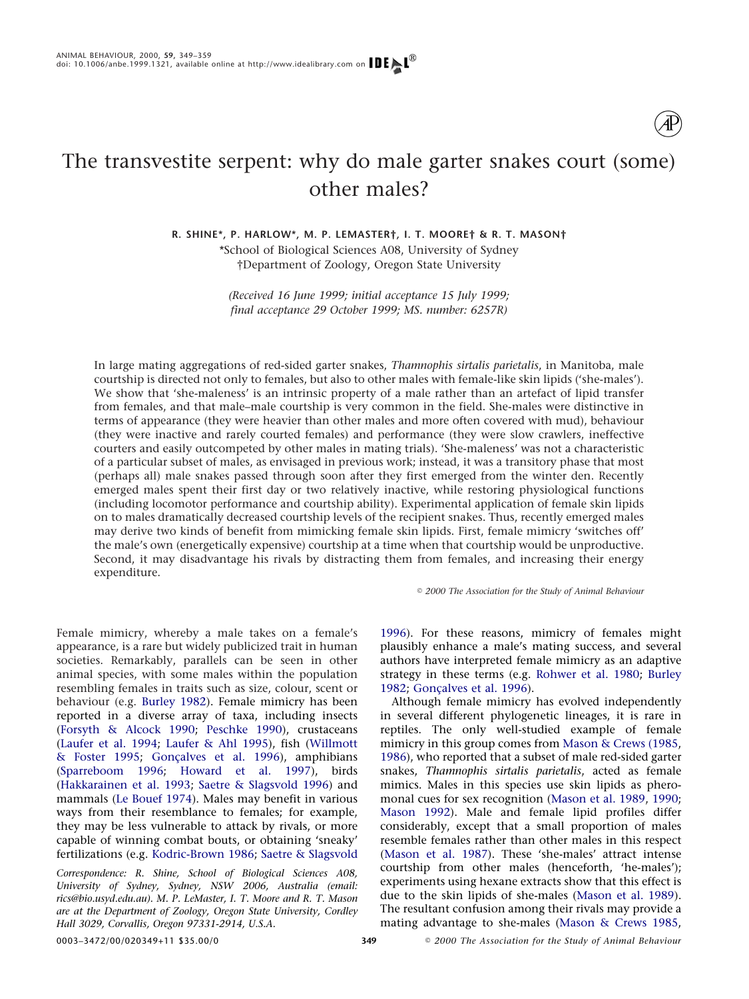# The transvestite serpent: why do male garter snakes court (some) other males?

**R. SHINE\*, P. HARLOW\*, M. P. LEMASTER†, I. T. MOORE† & R. T. MASON†** \*School of Biological Sciences A08, University of Sydney

†Department of Zoology, Oregon State University

*(Received 16 June 1999; initial acceptance 15 July 1999; final acceptance 29 October 1999; MS. number: 6257R)*

In large mating aggregations of red-sided garter snakes, *Thamnophis sirtalis parietalis*, in Manitoba, male courtship is directed not only to females, but also to other males with female-like skin lipids ('she-males'). We show that 'she-maleness' is an intrinsic property of a male rather than an artefact of lipid transfer from females, and that male–male courtship is very common in the field. She-males were distinctive in terms of appearance (they were heavier than other males and more often covered with mud), behaviour (they were inactive and rarely courted females) and performance (they were slow crawlers, ineffective courters and easily outcompeted by other males in mating trials). 'She-maleness' was not a characteristic of a particular subset of males, as envisaged in previous work; instead, it was a transitory phase that most (perhaps all) male snakes passed through soon after they first emerged from the winter den. Recently emerged males spent their first day or two relatively inactive, while restoring physiological functions (including locomotor performance and courtship ability). Experimental application of female skin lipids on to males dramatically decreased courtship levels of the recipient snakes. Thus, recently emerged males may derive two kinds of benefit from mimicking female skin lipids. First, female mimicry 'switches off' the male's own (energetically expensive) courtship at a time when that courtship would be unproductive. Second, it may disadvantage his rivals by distracting them from females, and increasing their energy expenditure.

*2000 The Association for the Study of Animal Behaviour*

Female mimicry, whereby a male takes on a female's appearance, is a rare but widely publicized trait in human societies. Remarkably, parallels can be seen in other animal species, with some males within the population resembling females in traits such as size, colour, scent or behaviour (e.g. [Burley 1982\)](#page-9-0). Female mimicry has been reported in a diverse array of taxa, including insects [\(Forsyth & Alcock 1990;](#page-9-1) [Peschke 1990\)](#page-10-0), crustaceans [\(Laufer et al. 1994;](#page-10-1) [Laufer & Ahl 1995\)](#page-10-2), fish [\(Willmott](#page-10-3) [& Foster 1995;](#page-10-3) Gonçalves et al. 1996), amphibians [\(Sparreboom 1996;](#page-10-4) [Howard et al. 1997\)](#page-9-3), birds [\(Hakkarainen et al. 1993;](#page-9-4) [Saetre & Slagsvold 1996\)](#page-10-5) and mammals [\(Le Bouef 1974\)](#page-10-6). Males may benefit in various ways from their resemblance to females; for example, they may be less vulnerable to attack by rivals, or more capable of winning combat bouts, or obtaining 'sneaky' fertilizations (e.g. [Kodric-Brown 1986;](#page-9-5) [Saetre & Slagsvold](#page-10-5)

*Correspondence: R. Shine, School of Biological Sciences A08, University of Sydney, Sydney, NSW 2006, Australia (email: rics@bio.usyd.edu.au). M. P. LeMaster, I. T. Moore and R. T. Mason are at the Department of Zoology, Oregon State University, Cordley Hall 3029, Corvallis, Oregon 97331-2914, U.S.A.*

[1996\)](#page-10-5). For these reasons, mimicry of females might plausibly enhance a male's mating success, and several authors have interpreted female mimicry as an adaptive strategy in these terms (e.g. [Rohwer et al. 1980;](#page-10-7) [Burley](#page-9-0) [1982;](#page-9-0) Gonçalves et al. 1996).

Although female mimicry has evolved independently in several different phylogenetic lineages, it is rare in reptiles. The only well-studied example of female mimicry in this group comes from [Mason & Crews \(1985,](#page-10-8) [1986\)](#page-10-9), who reported that a subset of male red-sided garter snakes, *Thamnophis sirtalis parietalis*, acted as female mimics. Males in this species use skin lipids as pheromonal cues for sex recognition [\(Mason et al. 1989,](#page-10-10) [1990;](#page-10-11) [Mason 1992\)](#page-10-12). Male and female lipid profiles differ considerably, except that a small proportion of males resemble females rather than other males in this respect [\(Mason et al. 1987\)](#page-10-13). These 'she-males' attract intense courtship from other males (henceforth, 'he-males'); experiments using hexane extracts show that this effect is due to the skin lipids of she-males [\(Mason et al. 1989\)](#page-10-10). The resultant confusion among their rivals may provide a mating advantage to she-males [\(Mason & Crews 1985,](#page-10-8)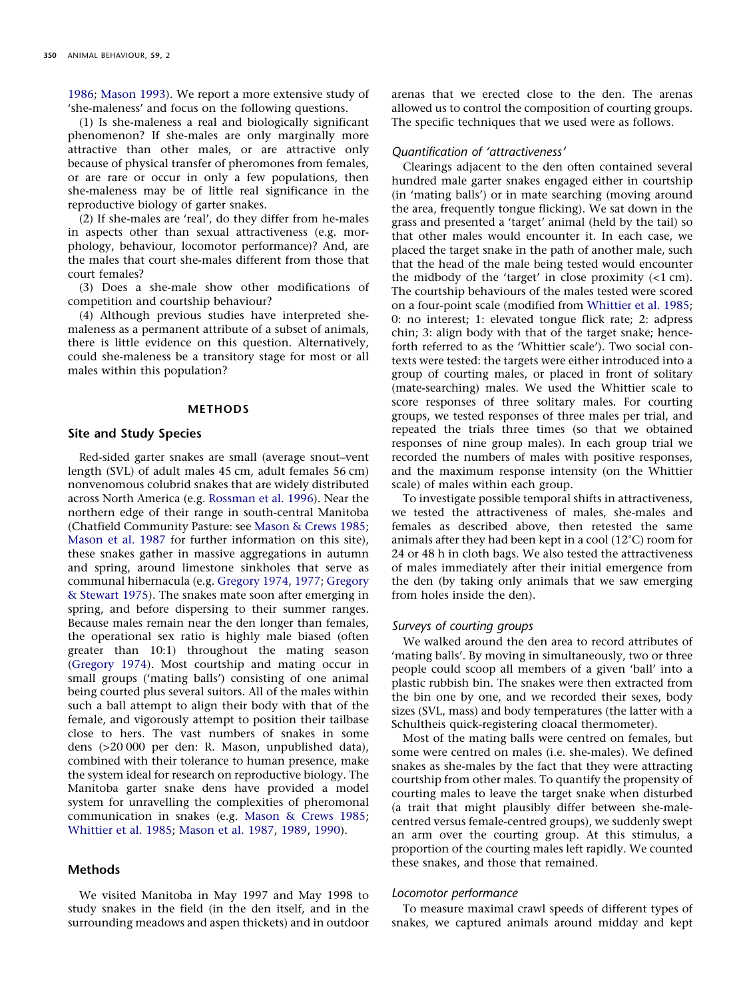[1986;](#page-10-9) [Mason 1993\)](#page-10-14). We report a more extensive study of 'she-maleness' and focus on the following questions.

(1) Is she-maleness a real and biologically significant phenomenon? If she-males are only marginally more attractive than other males, or are attractive only because of physical transfer of pheromones from females, or are rare or occur in only a few populations, then she-maleness may be of little real significance in the reproductive biology of garter snakes.

(2) If she-males are 'real', do they differ from he-males in aspects other than sexual attractiveness (e.g. morphology, behaviour, locomotor performance)? And, are the males that court she-males different from those that court females?

(3) Does a she-male show other modifications of competition and courtship behaviour?

(4) Although previous studies have interpreted shemaleness as a permanent attribute of a subset of animals, there is little evidence on this question. Alternatively, could she-maleness be a transitory stage for most or all males within this population?

#### **METHODS**

#### **Site and Study Species**

Red-sided garter snakes are small (average snout–vent length (SVL) of adult males 45 cm, adult females 56 cm) nonvenomous colubrid snakes that are widely distributed across North America (e.g. [Rossman et al. 1996\)](#page-10-15). Near the northern edge of their range in south-central Manitoba (Chatfield Community Pasture: see [Mason & Crews 1985;](#page-10-8) [Mason et al. 1987](#page-10-13) for further information on this site), these snakes gather in massive aggregations in autumn and spring, around limestone sinkholes that serve as communal hibernacula (e.g. [Gregory 1974,](#page-9-6) [1977;](#page-9-7) [Gregory](#page-9-8) [& Stewart 1975\)](#page-9-8). The snakes mate soon after emerging in spring, and before dispersing to their summer ranges. Because males remain near the den longer than females, the operational sex ratio is highly male biased (often greater than 10:1) throughout the mating season [\(Gregory 1974\)](#page-9-6). Most courtship and mating occur in small groups ('mating balls') consisting of one animal being courted plus several suitors. All of the males within such a ball attempt to align their body with that of the female, and vigorously attempt to position their tailbase close to hers. The vast numbers of snakes in some dens (>20 000 per den: R. Mason, unpublished data), combined with their tolerance to human presence, make the system ideal for research on reproductive biology. The Manitoba garter snake dens have provided a model system for unravelling the complexities of pheromonal communication in snakes (e.g. [Mason & Crews 1985;](#page-10-8) [Whittier et al. 1985;](#page-10-16) [Mason et al. 1987,](#page-10-13) [1989,](#page-10-10) [1990\)](#page-10-11).

## **Methods**

We visited Manitoba in May 1997 and May 1998 to study snakes in the field (in the den itself, and in the surrounding meadows and aspen thickets) and in outdoor arenas that we erected close to the den. The arenas allowed us to control the composition of courting groups. The specific techniques that we used were as follows.

#### *Quantification of 'attractiveness'*

Clearings adjacent to the den often contained several hundred male garter snakes engaged either in courtship (in 'mating balls') or in mate searching (moving around the area, frequently tongue flicking). We sat down in the grass and presented a 'target' animal (held by the tail) so that other males would encounter it. In each case, we placed the target snake in the path of another male, such that the head of the male being tested would encounter the midbody of the 'target' in close proximity  $(1 cm)$ . The courtship behaviours of the males tested were scored on a four-point scale (modified from [Whittier et al. 1985;](#page-10-16) 0: no interest; 1: elevated tongue flick rate; 2: adpress chin; 3: align body with that of the target snake; henceforth referred to as the 'Whittier scale'). Two social contexts were tested: the targets were either introduced into a group of courting males, or placed in front of solitary (mate-searching) males. We used the Whittier scale to score responses of three solitary males. For courting groups, we tested responses of three males per trial, and repeated the trials three times (so that we obtained responses of nine group males). In each group trial we recorded the numbers of males with positive responses, and the maximum response intensity (on the Whittier scale) of males within each group.

To investigate possible temporal shifts in attractiveness, we tested the attractiveness of males, she-males and females as described above, then retested the same animals after they had been kept in a cool  $(12^{\circ}C)$  room for 24 or 48 h in cloth bags. We also tested the attractiveness of males immediately after their initial emergence from the den (by taking only animals that we saw emerging from holes inside the den).

# *Surveys of courting groups*

We walked around the den area to record attributes of 'mating balls'. By moving in simultaneously, two or three people could scoop all members of a given 'ball' into a plastic rubbish bin. The snakes were then extracted from the bin one by one, and we recorded their sexes, body sizes (SVL, mass) and body temperatures (the latter with a Schultheis quick-registering cloacal thermometer).

Most of the mating balls were centred on females, but some were centred on males (i.e. she-males). We defined snakes as she-males by the fact that they were attracting courtship from other males. To quantify the propensity of courting males to leave the target snake when disturbed (a trait that might plausibly differ between she-malecentred versus female-centred groups), we suddenly swept an arm over the courting group. At this stimulus, a proportion of the courting males left rapidly. We counted these snakes, and those that remained.

#### *Locomotor performance*

To measure maximal crawl speeds of different types of snakes, we captured animals around midday and kept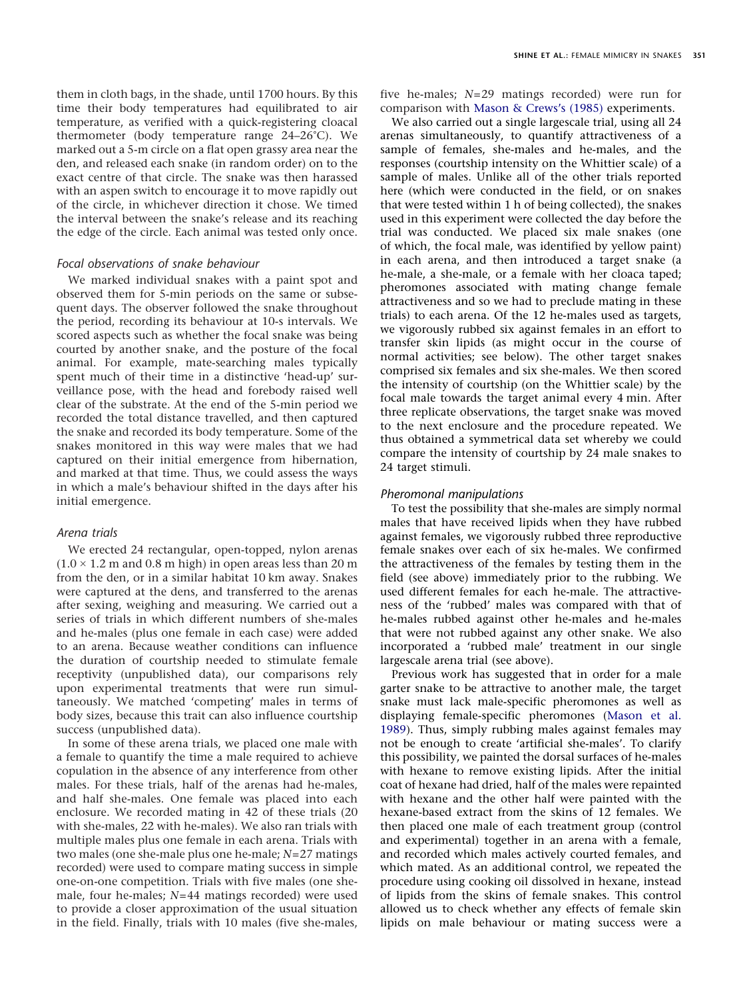them in cloth bags, in the shade, until 1700 hours. By this time their body temperatures had equilibrated to air temperature, as verified with a quick-registering cloacal thermometer (body temperature range  $24-26^{\circ}$ C). We marked out a 5-m circle on a flat open grassy area near the den, and released each snake (in random order) on to the exact centre of that circle. The snake was then harassed with an aspen switch to encourage it to move rapidly out of the circle, in whichever direction it chose. We timed the interval between the snake's release and its reaching the edge of the circle. Each animal was tested only once.

# *Focal observations of snake behaviour*

We marked individual snakes with a paint spot and observed them for 5-min periods on the same or subsequent days. The observer followed the snake throughout the period, recording its behaviour at 10-s intervals. We scored aspects such as whether the focal snake was being courted by another snake, and the posture of the focal animal. For example, mate-searching males typically spent much of their time in a distinctive 'head-up' surveillance pose, with the head and forebody raised well clear of the substrate. At the end of the 5-min period we recorded the total distance travelled, and then captured the snake and recorded its body temperature. Some of the snakes monitored in this way were males that we had captured on their initial emergence from hibernation, and marked at that time. Thus, we could assess the ways in which a male's behaviour shifted in the days after his initial emergence.

## *Arena trials*

We erected 24 rectangular, open-topped, nylon arenas  $(1.0 \times 1.2 \text{ m}$  and 0.8 m high) in open areas less than 20 m from the den, or in a similar habitat 10 km away. Snakes were captured at the dens, and transferred to the arenas after sexing, weighing and measuring. We carried out a series of trials in which different numbers of she-males and he-males (plus one female in each case) were added to an arena. Because weather conditions can influence the duration of courtship needed to stimulate female receptivity (unpublished data), our comparisons rely upon experimental treatments that were run simultaneously. We matched 'competing' males in terms of body sizes, because this trait can also influence courtship success (unpublished data).

In some of these arena trials, we placed one male with a female to quantify the time a male required to achieve copulation in the absence of any interference from other males. For these trials, half of the arenas had he-males, and half she-males. One female was placed into each enclosure. We recorded mating in 42 of these trials (20 with she-males, 22 with he-males). We also ran trials with multiple males plus one female in each arena. Trials with two males (one she-male plus one he-male; *N*=27 matings recorded) were used to compare mating success in simple one-on-one competition. Trials with five males (one shemale, four he-males; *N*=44 matings recorded) were used to provide a closer approximation of the usual situation in the field. Finally, trials with 10 males (five she-males, five he-males; *N*=29 matings recorded) were run for comparison with [Mason & Crews's \(1985\)](#page-10-8) experiments.

We also carried out a single largescale trial, using all 24 arenas simultaneously, to quantify attractiveness of a sample of females, she-males and he-males, and the responses (courtship intensity on the Whittier scale) of a sample of males. Unlike all of the other trials reported here (which were conducted in the field, or on snakes that were tested within 1 h of being collected), the snakes used in this experiment were collected the day before the trial was conducted. We placed six male snakes (one of which, the focal male, was identified by yellow paint) in each arena, and then introduced a target snake (a he-male, a she-male, or a female with her cloaca taped; pheromones associated with mating change female attractiveness and so we had to preclude mating in these trials) to each arena. Of the 12 he-males used as targets, we vigorously rubbed six against females in an effort to transfer skin lipids (as might occur in the course of normal activities; see below). The other target snakes comprised six females and six she-males. We then scored the intensity of courtship (on the Whittier scale) by the focal male towards the target animal every 4 min. After three replicate observations, the target snake was moved to the next enclosure and the procedure repeated. We thus obtained a symmetrical data set whereby we could compare the intensity of courtship by 24 male snakes to 24 target stimuli.

### *Pheromonal manipulations*

To test the possibility that she-males are simply normal males that have received lipids when they have rubbed against females, we vigorously rubbed three reproductive female snakes over each of six he-males. We confirmed the attractiveness of the females by testing them in the field (see above) immediately prior to the rubbing. We used different females for each he-male. The attractiveness of the 'rubbed' males was compared with that of he-males rubbed against other he-males and he-males that were not rubbed against any other snake. We also incorporated a 'rubbed male' treatment in our single largescale arena trial (see above).

Previous work has suggested that in order for a male garter snake to be attractive to another male, the target snake must lack male-specific pheromones as well as displaying female-specific pheromones [\(Mason et al.](#page-10-10) [1989\)](#page-10-10). Thus, simply rubbing males against females may not be enough to create 'artificial she-males'. To clarify this possibility, we painted the dorsal surfaces of he-males with hexane to remove existing lipids. After the initial coat of hexane had dried, half of the males were repainted with hexane and the other half were painted with the hexane-based extract from the skins of 12 females. We then placed one male of each treatment group (control and experimental) together in an arena with a female, and recorded which males actively courted females, and which mated. As an additional control, we repeated the procedure using cooking oil dissolved in hexane, instead of lipids from the skins of female snakes. This control allowed us to check whether any effects of female skin lipids on male behaviour or mating success were a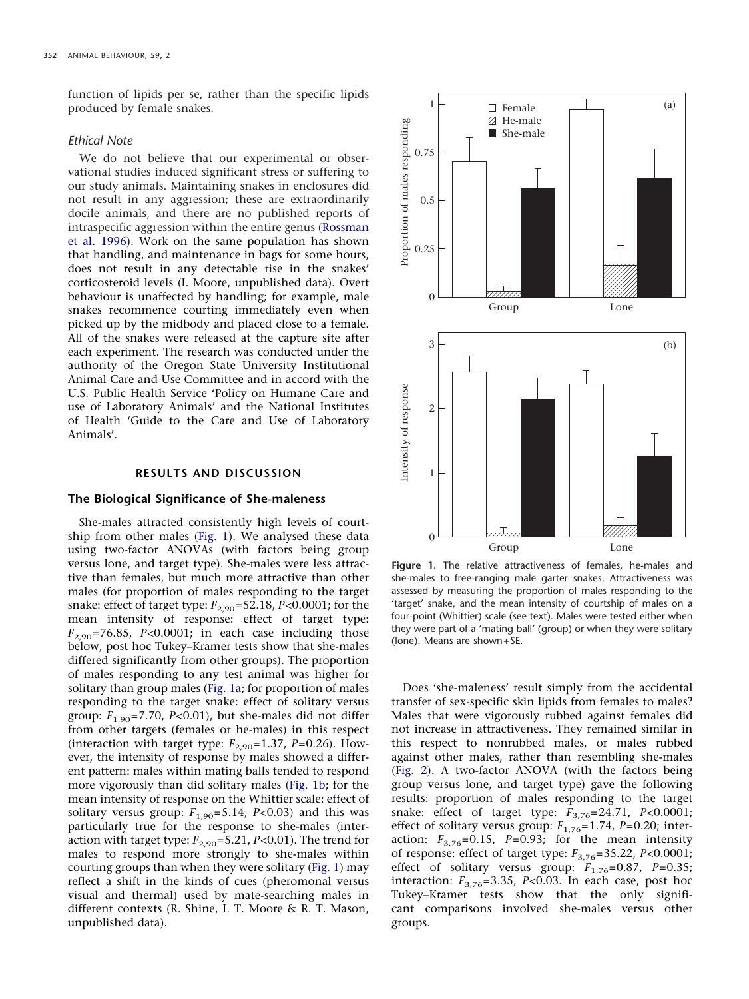function of lipids per se, rather than the specific lipids produced by female snakes.

### *Ethical Note*

We do not believe that our experimental or observational studies induced significant stress or suffering to our study animals. Maintaining snakes in enclosures did not result in any aggression; these are extraordinarily docile animals, and there are no published reports of intraspecific aggression within the entire genus [\(Rossman](#page-10-15) [et al. 1996\)](#page-10-15). Work on the same population has shown that handling, and maintenance in bags for some hours, does not result in any detectable rise in the snakes' corticosteroid levels (I. Moore, unpublished data). Overt behaviour is unaffected by handling; for example, male snakes recommence courting immediately even when picked up by the midbody and placed close to a female. All of the snakes were released at the capture site after each experiment. The research was conducted under the authority of the Oregon State University Institutional Animal Care and Use Committee and in accord with the U.S. Public Health Service 'Policy on Humane Care and use of Laboratory Animals' and the National Institutes of Health 'Guide to the Care and Use of Laboratory Animals'.

# **RESULTS AND DISCUSSION**

# **The Biological Significance of She-maleness**

She-males attracted consistently high levels of courtship from other males [\(Fig. 1\)](#page-3-0). We analysed these data using two-factor ANOVAs (with factors being group versus lone, and target type). She-males were less attractive than females, but much more attractive than other males (for proportion of males responding to the target snake: effect of target type: *F*2,90=52.18, *P<*0.0001; for the mean intensity of response: effect of target type:  $F_{2,90}$ =76.85, *P*<0.0001; in each case including those below, post hoc Tukey–Kramer tests show that she-males differed significantly from other groups). The proportion of males responding to any test animal was higher for solitary than group males [\(Fig. 1a;](#page-3-0) for proportion of males responding to the target snake: effect of solitary versus group:  $F_{1,90}$ =7.70, *P*<0.01), but she-males did not differ from other targets (females or he-males) in this respect (interaction with target type:  $F_{2,90}$ =1.37, *P*=0.26). However, the intensity of response by males showed a different pattern: males within mating balls tended to respond more vigorously than did solitary males [\(Fig. 1b;](#page-3-0) for the mean intensity of response on the Whittier scale: effect of solitary versus group:  $F_{1,90}$ =5.14, *P*<0.03) and this was particularly true for the response to she-males (interaction with target type:  $F_{2,90}$ =5.21, *P*<0.01). The trend for males to respond more strongly to she-males within courting groups than when they were solitary [\(Fig. 1\)](#page-3-0) may reflect a shift in the kinds of cues (pheromonal versus visual and thermal) used by mate-searching males in different contexts (R. Shine, I. T. Moore & R. T. Mason, unpublished data).

<span id="page-3-0"></span>

**Figure 1.** The relative attractiveness of females, he-males and she-males to free-ranging male garter snakes. Attractiveness was assessed by measuring the proportion of males responding to the 'target' snake, and the mean intensity of courtship of males on a four-point (Whittier) scale (see text). Males were tested either when they were part of a 'mating ball' (group) or when they were solitary (lone). Means are shown+SE.

Does 'she-maleness' result simply from the accidental transfer of sex-specific skin lipids from females to males? Males that were vigorously rubbed against females did not increase in attractiveness. They remained similar in this respect to nonrubbed males, or males rubbed against other males, rather than resembling she-males [\(Fig. 2\)](#page-4-0). A two-factor ANOVA (with the factors being group versus lone, and target type) gave the following results: proportion of males responding to the target snake: effect of target type: *F*3,76=24.71, *P<*0.0001; effect of solitary versus group:  $F_{1,76}$ =1.74, *P*=0.20; interaction:  $F_{3,76}$ =0.15,  $P=0.93$ ; for the mean intensity of response: effect of target type: *F*3,76=35.22, *P<*0.0001; effect of solitary versus group:  $F_{1,76}$ =0.87, *P*=0.35; interaction:  $F_{3,76}$ =3.35, *P*<0.03. In each case, post hoc Tukey–Kramer tests show that the only significant comparisons involved she-males versus other groups.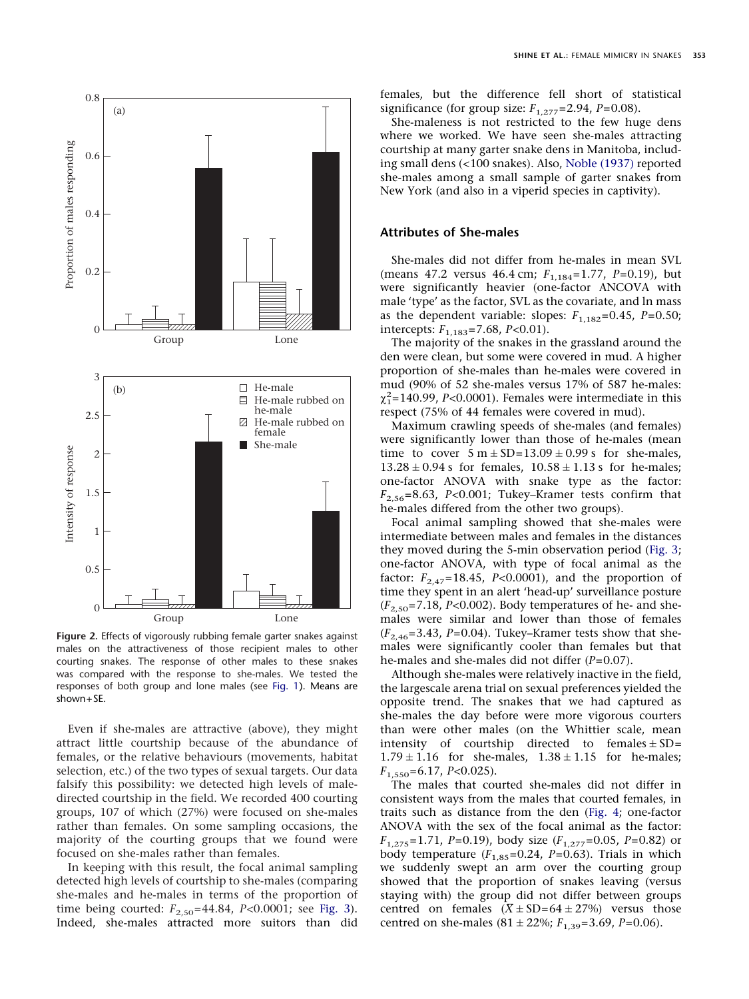<span id="page-4-0"></span>

**Figure 2.** Effects of vigorously rubbing female garter snakes against males on the attractiveness of those recipient males to other courting snakes. The response of other males to these snakes was compared with the response to she-males. We tested the responses of both group and lone males (see [Fig. 1](#page-3-0)). Means are shown+SE.

Even if she-males are attractive (above), they might attract little courtship because of the abundance of females, or the relative behaviours (movements, habitat selection, etc.) of the two types of sexual targets. Our data falsify this possibility: we detected high levels of maledirected courtship in the field. We recorded 400 courting groups, 107 of which (27%) were focused on she-males rather than females. On some sampling occasions, the majority of the courting groups that we found were focused on she-males rather than females.

In keeping with this result, the focal animal sampling detected high levels of courtship to she-males (comparing she-males and he-males in terms of the proportion of time being courted:  $F_{2.50}$ =44.84, *P*<0.0001; see [Fig. 3\)](#page-5-0). Indeed, she-males attracted more suitors than did

females, but the difference fell short of statistical significance (for group size:  $F_{1,277}$ =2.94, *P*=0.08).

She-maleness is not restricted to the few huge dens where we worked. We have seen she-males attracting courtship at many garter snake dens in Manitoba, including small dens (<100 snakes). Also, [Noble \(1937\)](#page-10-17) reported she-males among a small sample of garter snakes from New York (and also in a viperid species in captivity).

## **Attributes of She-males**

She-males did not differ from he-males in mean SVL (means 47.2 versus 46.4 cm;  $F_{1,184}$ =1.77, P=0.19), but were significantly heavier (one-factor ANCOVA with male 'type' as the factor, SVL as the covariate, and ln mass as the dependent variable: slopes:  $F_{1,182}=0.45$ ,  $P=0.50$ ; intercepts: *F*1,183=7.68, *P<*0.01).

The majority of the snakes in the grassland around the den were clean, but some were covered in mud. A higher proportion of she-males than he-males were covered in mud (90% of 52 she-males versus 17% of 587 he-males:  $\chi_1^2$ =140.99, *P<*0.0001). Females were intermediate in this respect (75% of 44 females were covered in mud).

Maximum crawling speeds of she-males (and females) were significantly lower than those of he-males (mean time to cover  $5 \text{ m} \pm \text{SD} = 13.09 \pm 0.99 \text{ s}$  for she-males,  $13.28 \pm 0.94$  s for females,  $10.58 \pm 1.13$  s for he-males; one-factor ANOVA with snake type as the factor: *F*2,56=8.63, *P<*0.001; Tukey–Kramer tests confirm that he-males differed from the other two groups).

Focal animal sampling showed that she-males were intermediate between males and females in the distances they moved during the 5-min observation period [\(Fig. 3;](#page-5-0) one-factor ANOVA, with type of focal animal as the factor:  $F_{2,47}=18.45$ ,  $P<0.0001$ ), and the proportion of time they spent in an alert 'head-up' surveillance posture (*F*2,50=7.18, *P<*0.002). Body temperatures of he- and shemales were similar and lower than those of females  $(F_{2,46}=3.43, P=0.04)$ . Tukey–Kramer tests show that shemales were significantly cooler than females but that he-males and she-males did not differ (*P*=0.07).

Although she-males were relatively inactive in the field, the largescale arena trial on sexual preferences yielded the opposite trend. The snakes that we had captured as she-males the day before were more vigorous courters than were other males (on the Whittier scale, mean intensity of courtship directed to females  $\pm$  SD=  $1.79 \pm 1.16$  for she-males,  $1.38 \pm 1.15$  for he-males; *F*1,550=6.17, *P<*0.025).

The males that courted she-males did not differ in consistent ways from the males that courted females, in traits such as distance from the den [\(Fig. 4;](#page-6-0) one-factor ANOVA with the sex of the focal animal as the factor: *F*1,275=1.71, *P*=0.19), body size (*F*1,277=0.05, *P*=0.82) or body temperature  $(F_{1,85}=0.24, P=0.63)$ . Trials in which we suddenly swept an arm over the courting group showed that the proportion of snakes leaving (versus staying with) the group did not differ between groups centred on females  $(\bar{X} \pm SD = 64 \pm 27\%)$  versus those centred on she-males (81 ± 22%;  $F_{1,39}$ =3.69, *P*=0.06).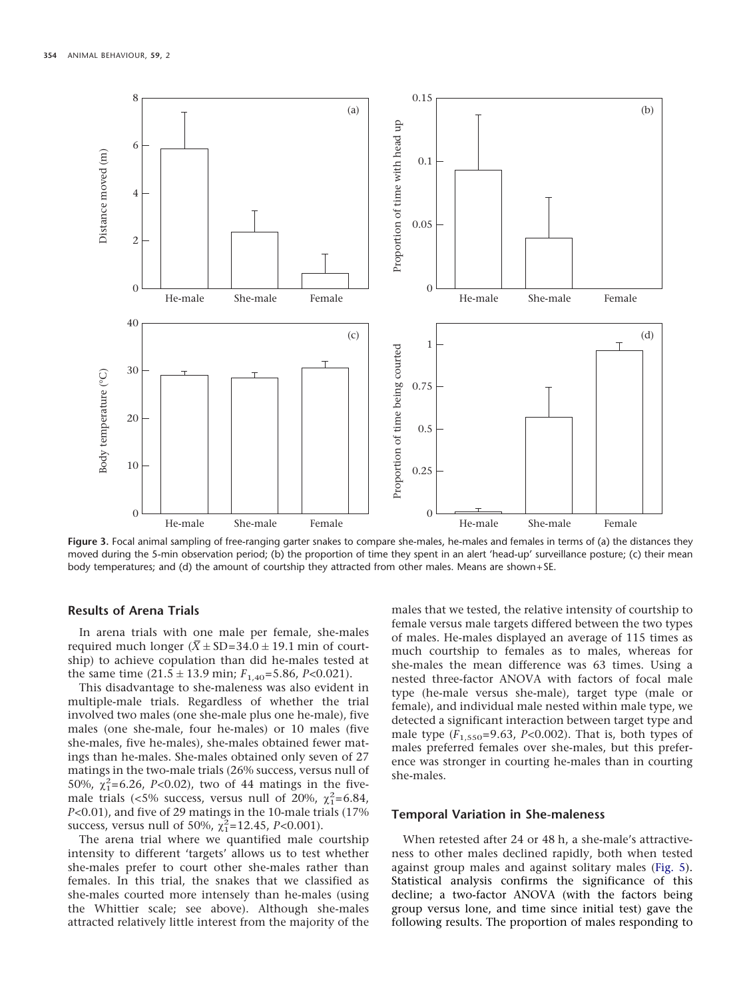<span id="page-5-0"></span>

**Figure 3.** Focal animal sampling of free-ranging garter snakes to compare she-males, he-males and females in terms of (a) the distances they moved during the 5-min observation period; (b) the proportion of time they spent in an alert 'head-up' surveillance posture; (c) their mean body temperatures; and (d) the amount of courtship they attracted from other males. Means are shown+SE.

# **Results of Arena Trials**

In arena trials with one male per female, she-males required much longer  $(\bar{X} \pm SD = 34.0 \pm 19.1 \text{ min of court-}$ ship) to achieve copulation than did he-males tested at the same time  $(21.5 \pm 13.9 \text{ min}; F_{1,40} = 5.86, P < 0.021)$ .

This disadvantage to she-maleness was also evident in multiple-male trials. Regardless of whether the trial involved two males (one she-male plus one he-male), five males (one she-male, four he-males) or 10 males (five she-males, five he-males), she-males obtained fewer matings than he-males. She-males obtained only seven of 27 matings in the two-male trials (26% success, versus null of 50%,  $\chi_1^2$ =6.26, *P*<0.02), two of 44 matings in the fivemale trials (<5% success, versus null of 20%,  $\chi_1^2 = 6.84$ , *P<*0.01), and five of 29 matings in the 10-male trials (17% success, versus null of 50%,  $\chi_1^2$ =12.45, *P*<0.001).

The arena trial where we quantified male courtship intensity to different 'targets' allows us to test whether she-males prefer to court other she-males rather than females. In this trial, the snakes that we classified as she-males courted more intensely than he-males (using the Whittier scale; see above). Although she-males attracted relatively little interest from the majority of the males that we tested, the relative intensity of courtship to female versus male targets differed between the two types of males. He-males displayed an average of 115 times as much courtship to females as to males, whereas for she-males the mean difference was 63 times. Using a nested three-factor ANOVA with factors of focal male type (he-male versus she-male), target type (male or female), and individual male nested within male type, we detected a significant interaction between target type and male type  $(F_{1,550}=9.63, P<0.002)$ . That is, both types of males preferred females over she-males, but this preference was stronger in courting he-males than in courting she-males.

# **Temporal Variation in She-maleness**

When retested after 24 or 48 h, a she-male's attractiveness to other males declined rapidly, both when tested against group males and against solitary males [\(Fig. 5\)](#page-7-0). Statistical analysis confirms the significance of this decline; a two-factor ANOVA (with the factors being group versus lone, and time since initial test) gave the following results. The proportion of males responding to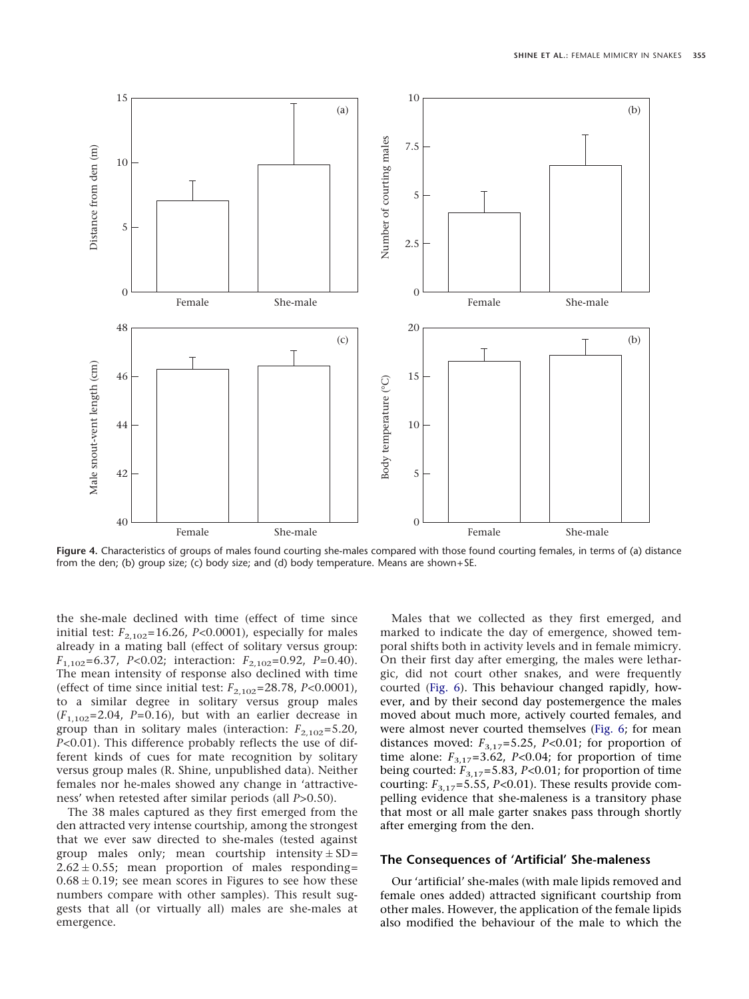<span id="page-6-0"></span>

**Figure 4.** Characteristics of groups of males found courting she-males compared with those found courting females, in terms of (a) distance from the den; (b) group size; (c) body size; and (d) body temperature. Means are shown+SE.

the she-male declined with time (effect of time since initial test:  $F_{2,102}$ =16.26, *P*<0.0001), especially for males already in a mating ball (effect of solitary versus group: *F*<sub>1,102</sub>=6.37, *P*<0.02; interaction: *F*<sub>2,102</sub>=0.92, *P*=0.40). The mean intensity of response also declined with time (effect of time since initial test:  $F_{2,102}$ =28.78, *P*<0.0001), to a similar degree in solitary versus group males  $(F_{1,102}=2.04, P=0.16)$ , but with an earlier decrease in group than in solitary males (interaction:  $F_{2,102}$ =5.20, *P<*0.01). This difference probably reflects the use of different kinds of cues for mate recognition by solitary versus group males (R. Shine, unpublished data). Neither females nor he-males showed any change in 'attractiveness' when retested after similar periods (all *P>*0.50).

The 38 males captured as they first emerged from the den attracted very intense courtship, among the strongest that we ever saw directed to she-males (tested against group males only; mean courtship intensity  $\pm$  SD=  $2.62 \pm 0.55$ ; mean proportion of males responding=  $0.68 \pm 0.19$ ; see mean scores in Figures to see how these numbers compare with other samples). This result suggests that all (or virtually all) males are she-males at emergence.

Males that we collected as they first emerged, and marked to indicate the day of emergence, showed temporal shifts both in activity levels and in female mimicry. On their first day after emerging, the males were lethargic, did not court other snakes, and were frequently courted [\(Fig. 6\)](#page-8-0). This behaviour changed rapidly, however, and by their second day postemergence the males moved about much more, actively courted females, and were almost never courted themselves [\(Fig. 6;](#page-8-0) for mean distances moved:  $F_{3,17}$ =5.25, *P*<0.01; for proportion of time alone:  $F_{3,17}=3.62$ , *P*<0.04; for proportion of time being courted:  $F_{3,17}=5.83$ , *P*<0.01; for proportion of time courting:  $F_{3,17}$ =5.55, *P*<0.01). These results provide compelling evidence that she-maleness is a transitory phase that most or all male garter snakes pass through shortly after emerging from the den.

## **The Consequences of 'Artificial' She-maleness**

Our 'artificial' she-males (with male lipids removed and female ones added) attracted significant courtship from other males. However, the application of the female lipids also modified the behaviour of the male to which the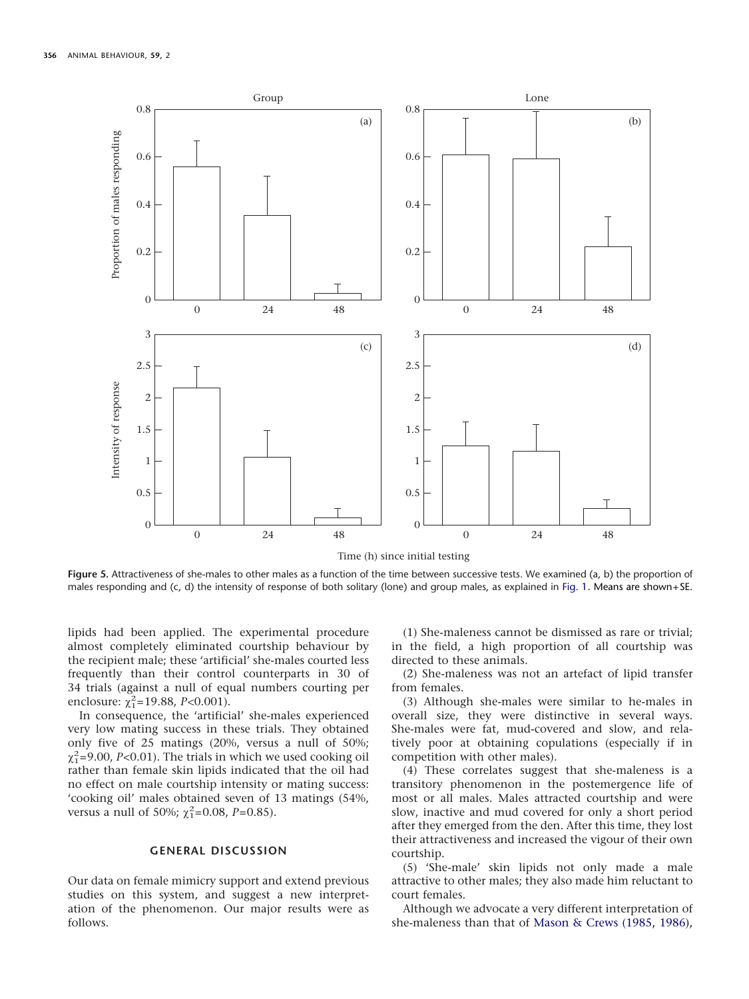<span id="page-7-0"></span>

**Figure 5.** Attractiveness of she-males to other males as a function of the time between successive tests. We examined (a, b) the proportion of males responding and (c, d) the intensity of response of both solitary (lone) and group males, as explained in [Fig. 1](#page-3-0). Means are shown+SE.

lipids had been applied. The experimental procedure almost completely eliminated courtship behaviour by the recipient male; these 'artificial' she-males courted less frequently than their control counterparts in 30 of 34 trials (against a null of equal numbers courting per enclosure:  $\chi_1^2$ =19.88, *P*<0.001).

In consequence, the 'artificial' she-males experienced very low mating success in these trials. They obtained only five of 25 matings (20%, versus a null of 50%;  $\chi_1^2$ =9.00, *P*<0.01). The trials in which we used cooking oil rather than female skin lipids indicated that the oil had no effect on male courtship intensity or mating success: 'cooking oil' males obtained seven of 13 matings (54%, versus a null of 50%;  $\chi_1^2 = 0.08$ , *P*=0.85).

# **GENERAL DISCUSSION**

Our data on female mimicry support and extend previous studies on this system, and suggest a new interpretation of the phenomenon. Our major results were as follows.

(1) She-maleness cannot be dismissed as rare or trivial; in the field, a high proportion of all courtship was directed to these animals.

(2) She-maleness was not an artefact of lipid transfer from females.

(3) Although she-males were similar to he-males in overall size, they were distinctive in several ways. She-males were fat, mud-covered and slow, and relatively poor at obtaining copulations (especially if in competition with other males).

(4) These correlates suggest that she-maleness is a transitory phenomenon in the postemergence life of most or all males. Males attracted courtship and were slow, inactive and mud covered for only a short period after they emerged from the den. After this time, they lost their attractiveness and increased the vigour of their own courtship.

(5) 'She-male' skin lipids not only made a male attractive to other males; they also made him reluctant to court females.

Although we advocate a very different interpretation of she-maleness than that of [Mason & Crews \(1985,](#page-10-8) [1986\)](#page-10-9),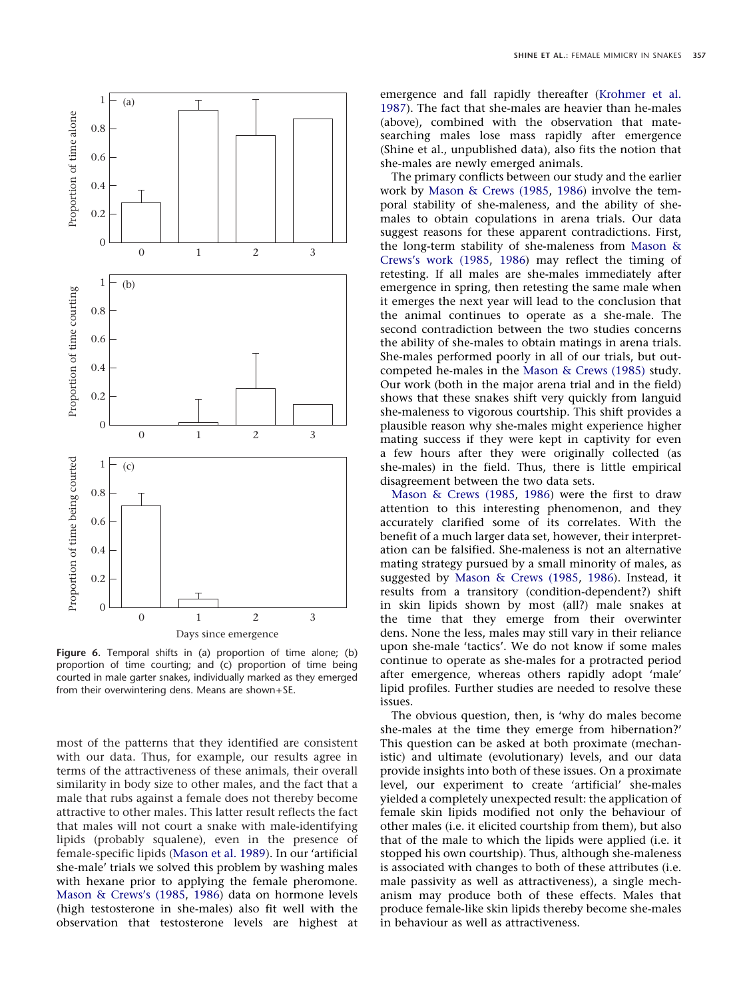<span id="page-8-0"></span>

**Figure 6.** Temporal shifts in (a) proportion of time alone; (b) proportion of time courting; and (c) proportion of time being courted in male garter snakes, individually marked as they emerged from their overwintering dens. Means are shown+SE.

most of the patterns that they identified are consistent with our data. Thus, for example, our results agree in terms of the attractiveness of these animals, their overall similarity in body size to other males, and the fact that a male that rubs against a female does not thereby become attractive to other males. This latter result reflects the fact that males will not court a snake with male-identifying lipids (probably squalene), even in the presence of female-specific lipids [\(Mason et al. 1989\)](#page-10-10). In our 'artificial she-male' trials we solved this problem by washing males with hexane prior to applying the female pheromone. [Mason & Crews's \(1985,](#page-10-8) [1986\)](#page-10-9) data on hormone levels (high testosterone in she-males) also fit well with the observation that testosterone levels are highest at emergence and fall rapidly thereafter [\(Krohmer et al.](#page-9-9) [1987\)](#page-9-9). The fact that she-males are heavier than he-males (above), combined with the observation that matesearching males lose mass rapidly after emergence (Shine et al., unpublished data), also fits the notion that she-males are newly emerged animals.

The primary conflicts between our study and the earlier work by [Mason & Crews \(1985,](#page-10-8) [1986\)](#page-10-9) involve the temporal stability of she-maleness, and the ability of shemales to obtain copulations in arena trials. Our data suggest reasons for these apparent contradictions. First, the long-term stability of she-maleness from [Mason &](#page-10-8) [Crews's work \(1985,](#page-10-8) [1986\)](#page-10-9) may reflect the timing of retesting. If all males are she-males immediately after emergence in spring, then retesting the same male when it emerges the next year will lead to the conclusion that the animal continues to operate as a she-male. The second contradiction between the two studies concerns the ability of she-males to obtain matings in arena trials. She-males performed poorly in all of our trials, but outcompeted he-males in the [Mason & Crews \(1985\)](#page-10-8) study. Our work (both in the major arena trial and in the field) shows that these snakes shift very quickly from languid she-maleness to vigorous courtship. This shift provides a plausible reason why she-males might experience higher mating success if they were kept in captivity for even a few hours after they were originally collected (as she-males) in the field. Thus, there is little empirical disagreement between the two data sets.

[Mason & Crews \(1985,](#page-10-8) [1986\)](#page-10-9) were the first to draw attention to this interesting phenomenon, and they accurately clarified some of its correlates. With the benefit of a much larger data set, however, their interpretation can be falsified. She-maleness is not an alternative mating strategy pursued by a small minority of males, as suggested by [Mason & Crews \(1985,](#page-10-8) [1986\)](#page-10-9). Instead, it results from a transitory (condition-dependent?) shift in skin lipids shown by most (all?) male snakes at the time that they emerge from their overwinter dens. None the less, males may still vary in their reliance upon she-male 'tactics'. We do not know if some males continue to operate as she-males for a protracted period after emergence, whereas others rapidly adopt 'male' lipid profiles. Further studies are needed to resolve these issues.

The obvious question, then, is 'why do males become she-males at the time they emerge from hibernation?' This question can be asked at both proximate (mechanistic) and ultimate (evolutionary) levels, and our data provide insights into both of these issues. On a proximate level, our experiment to create 'artificial' she-males yielded a completely unexpected result: the application of female skin lipids modified not only the behaviour of other males (i.e. it elicited courtship from them), but also that of the male to which the lipids were applied (i.e. it stopped his own courtship). Thus, although she-maleness is associated with changes to both of these attributes (i.e. male passivity as well as attractiveness), a single mechanism may produce both of these effects. Males that produce female-like skin lipids thereby become she-males in behaviour as well as attractiveness.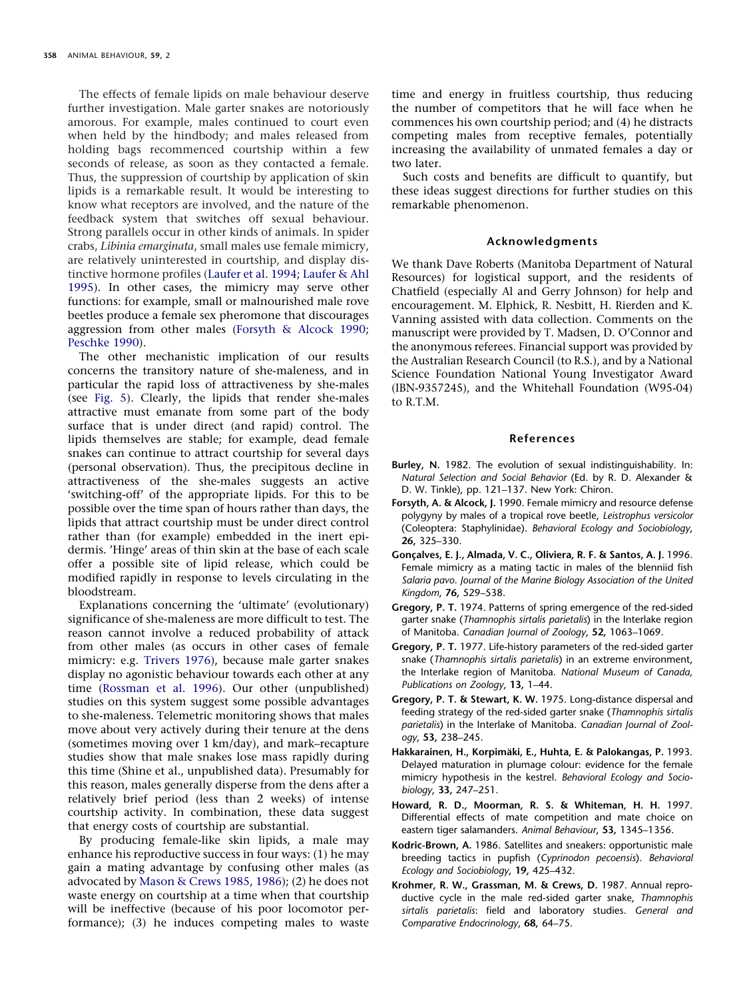The effects of female lipids on male behaviour deserve further investigation. Male garter snakes are notoriously amorous. For example, males continued to court even when held by the hindbody; and males released from holding bags recommenced courtship within a few seconds of release, as soon as they contacted a female. Thus, the suppression of courtship by application of skin lipids is a remarkable result. It would be interesting to know what receptors are involved, and the nature of the feedback system that switches off sexual behaviour. Strong parallels occur in other kinds of animals. In spider crabs, *Libinia emarginata*, small males use female mimicry, are relatively uninterested in courtship, and display distinctive hormone profiles [\(Laufer et al. 1994;](#page-10-1) [Laufer & Ahl](#page-10-2) [1995\)](#page-10-2). In other cases, the mimicry may serve other functions: for example, small or malnourished male rove beetles produce a female sex pheromone that discourages aggression from other males [\(Forsyth & Alcock 1990;](#page-9-1) [Peschke 1990\)](#page-10-0).

The other mechanistic implication of our results concerns the transitory nature of she-maleness, and in particular the rapid loss of attractiveness by she-males (see [Fig. 5\)](#page-7-0). Clearly, the lipids that render she-males attractive must emanate from some part of the body surface that is under direct (and rapid) control. The lipids themselves are stable; for example, dead female snakes can continue to attract courtship for several days (personal observation). Thus, the precipitous decline in attractiveness of the she-males suggests an active 'switching-off' of the appropriate lipids. For this to be possible over the time span of hours rather than days, the lipids that attract courtship must be under direct control rather than (for example) embedded in the inert epidermis. 'Hinge' areas of thin skin at the base of each scale offer a possible site of lipid release, which could be modified rapidly in response to levels circulating in the bloodstream.

Explanations concerning the 'ultimate' (evolutionary) significance of she-maleness are more difficult to test. The reason cannot involve a reduced probability of attack from other males (as occurs in other cases of female mimicry: e.g. [Trivers 1976\)](#page-10-18), because male garter snakes display no agonistic behaviour towards each other at any time [\(Rossman et al. 1996\)](#page-10-15). Our other (unpublished) studies on this system suggest some possible advantages to she-maleness. Telemetric monitoring shows that males move about very actively during their tenure at the dens (sometimes moving over 1 km/day), and mark–recapture studies show that male snakes lose mass rapidly during this time (Shine et al., unpublished data). Presumably for this reason, males generally disperse from the dens after a relatively brief period (less than 2 weeks) of intense courtship activity. In combination, these data suggest that energy costs of courtship are substantial.

By producing female-like skin lipids, a male may enhance his reproductive success in four ways: (1) he may gain a mating advantage by confusing other males (as advocated by [Mason & Crews 1985,](#page-10-8) [1986\)](#page-10-9); (2) he does not waste energy on courtship at a time when that courtship will be ineffective (because of his poor locomotor performance); (3) he induces competing males to waste time and energy in fruitless courtship, thus reducing the number of competitors that he will face when he commences his own courtship period; and (4) he distracts competing males from receptive females, potentially increasing the availability of unmated females a day or two later.

Such costs and benefits are difficult to quantify, but these ideas suggest directions for further studies on this remarkable phenomenon.

#### **Acknowledgments**

We thank Dave Roberts (Manitoba Department of Natural Resources) for logistical support, and the residents of Chatfield (especially Al and Gerry Johnson) for help and encouragement. M. Elphick, R. Nesbitt, H. Rierden and K. Vanning assisted with data collection. Comments on the manuscript were provided by T. Madsen, D. O'Connor and the anonymous referees. Financial support was provided by the Australian Research Council (to R.S.), and by a National Science Foundation National Young Investigator Award (IBN-9357245), and the Whitehall Foundation (W95-04) to R.T.M.

#### **References**

- <span id="page-9-0"></span>**Burley, N.** 1982. The evolution of sexual indistinguishability. In: *Natural Selection and Social Behavior* (Ed. by R. D. Alexander & D. W. Tinkle), pp. 121–137. New York: Chiron.
- <span id="page-9-1"></span>**Forsyth, A. & Alcock, J.** 1990. Female mimicry and resource defense polygyny by males of a tropical rove beetle, *Leistrophus versicolor* (Coleoptera: Staphylinidae). *Behavioral Ecology and Sociobiology*, **26,** 325–330.
- <span id="page-9-2"></span>Goncalves, E. I., Almada, V. C., Oliviera, R. F. & Santos, A. I. 1996. Female mimicry as a mating tactic in males of the blenniid fish *Salaria pavo*. *Journal of the Marine Biology Association of the United Kingdom*, **76,** 529–538.
- <span id="page-9-6"></span>**Gregory, P. T.** 1974. Patterns of spring emergence of the red-sided garter snake (*Thamnophis sirtalis parietalis*) in the Interlake region of Manitoba. *Canadian Journal of Zoology*, **52,** 1063–1069.
- <span id="page-9-7"></span>**Gregory, P. T.** 1977. Life-history parameters of the red-sided garter snake (*Thamnophis sirtalis parietalis*) in an extreme environment, the Interlake region of Manitoba. *National Museum of Canada, Publications on Zoology*, **13,** 1–44.
- <span id="page-9-8"></span>**Gregory, P. T. & Stewart, K. W.** 1975. Long-distance dispersal and feeding strategy of the red-sided garter snake (*Thamnophis sirtalis parietalis*) in the Interlake of Manitoba. *Canadian Journal of Zoology*, **53,** 238–245.
- <span id="page-9-4"></span>Hakkarainen, H., Korpimäki, E., Huhta, E. & Palokangas, P. 1993. Delayed maturation in plumage colour: evidence for the female mimicry hypothesis in the kestrel. *Behavioral Ecology and Sociobiology*, **33,** 247–251.
- <span id="page-9-3"></span>**Howard, R. D., Moorman, R. S. & Whiteman, H. H.** 1997. Differential effects of mate competition and mate choice on eastern tiger salamanders. *Animal Behaviour*, **53,** 1345–1356.
- <span id="page-9-5"></span>**Kodric-Brown, A.** 1986. Satellites and sneakers: opportunistic male breeding tactics in pupfish (*Cyprinodon pecoensis*). *Behavioral Ecology and Sociobiology*, **19,** 425–432.
- <span id="page-9-9"></span>**Krohmer, R. W., Grassman, M. & Crews, D.** 1987. Annual reproductive cycle in the male red-sided garter snake, *Thamnophis sirtalis parietalis*: field and laboratory studies. *General and Comparative Endocrinology*, **68,** 64–75.